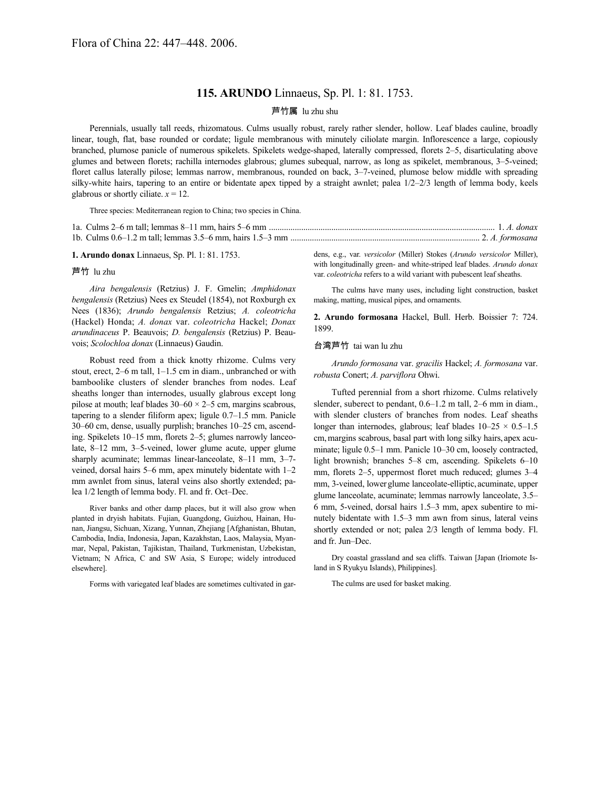## **115. ARUNDO** Linnaeus, Sp. Pl. 1: 81. 1753.

## 芦竹属 lu zhu shu

Perennials, usually tall reeds, rhizomatous. Culms usually robust, rarely rather slender, hollow. Leaf blades cauline, broadly linear, tough, flat, base rounded or cordate; ligule membranous with minutely ciliolate margin. Inflorescence a large, copiously branched, plumose panicle of numerous spikelets. Spikelets wedge-shaped, laterally compressed, florets 2–5, disarticulating above glumes and between florets; rachilla internodes glabrous; glumes subequal, narrow, as long as spikelet, membranous, 3–5-veined; floret callus laterally pilose; lemmas narrow, membranous, rounded on back, 3–7-veined, plumose below middle with spreading silky-white hairs, tapering to an entire or bidentate apex tipped by a straight awnlet; palea 1/2–2/3 length of lemma body, keels glabrous or shortly ciliate.  $x = 12$ .

Three species: Mediterranean region to China; two species in China.

**1. Arundo donax** Linnaeus, Sp. Pl. 1: 81. 1753.

## 芦竹 lu zhu

*Aira bengalensis* (Retzius) J. F. Gmelin; *Amphidonax bengalensis* (Retzius) Nees ex Steudel (1854), not Roxburgh ex Nees (1836); *Arundo bengalensis* Retzius; *A. coleotricha* (Hackel) Honda; *A. donax* var. *coleotricha* Hackel; *Donax arundinaceus* P. Beauvois; *D. bengalensis* (Retzius) P. Beauvois; *Scolochloa donax* (Linnaeus) Gaudin.

Robust reed from a thick knotty rhizome. Culms very stout, erect, 2–6 m tall, 1–1.5 cm in diam., unbranched or with bamboolike clusters of slender branches from nodes. Leaf sheaths longer than internodes, usually glabrous except long pilose at mouth; leaf blades  $30-60 \times 2-5$  cm, margins scabrous, tapering to a slender filiform apex; ligule 0.7–1.5 mm. Panicle 30–60 cm, dense, usually purplish; branches 10–25 cm, ascending. Spikelets 10–15 mm, florets 2–5; glumes narrowly lanceolate, 8–12 mm, 3–5-veined, lower glume acute, upper glume sharply acuminate; lemmas linear-lanceolate, 8–11 mm, 3–7 veined, dorsal hairs 5–6 mm, apex minutely bidentate with 1–2 mm awnlet from sinus, lateral veins also shortly extended; palea 1/2 length of lemma body. Fl. and fr. Oct–Dec.

River banks and other damp places, but it will also grow when planted in dryish habitats. Fujian, Guangdong, Guizhou, Hainan, Hunan, Jiangsu, Sichuan, Xizang, Yunnan, Zhejiang [Afghanistan, Bhutan, Cambodia, India, Indonesia, Japan, Kazakhstan, Laos, Malaysia, Myanmar, Nepal, Pakistan, Tajikistan, Thailand, Turkmenistan, Uzbekistan, Vietnam; N Africa, C and SW Asia, S Europe; widely introduced elsewhere].

Forms with variegated leaf blades are sometimes cultivated in gar-

dens, e.g., var. *versicolor* (Miller) Stokes (*Arundo versicolor* Miller), with longitudinally green- and white-striped leaf blades. *Arundo donax* var. *coleotricha* refers to a wild variant with pubescent leaf sheaths.

The culms have many uses, including light construction, basket making, matting, musical pipes, and ornaments.

**2. Arundo formosana** Hackel, Bull. Herb. Boissier 7: 724. 1899.

## 台湾芦竹 tai wan lu zhu

*Arundo formosana* var. *gracilis* Hackel; *A. formosana* var. *robusta* Conert; *A. parviflora* Ohwi.

Tufted perennial from a short rhizome. Culms relatively slender, suberect to pendant, 0.6–1.2 m tall, 2–6 mm in diam., with slender clusters of branches from nodes. Leaf sheaths longer than internodes, glabrous; leaf blades 10–25 × 0.5–1.5 cm,margins scabrous, basal part with long silky hairs, apex acuminate; ligule 0.5–1 mm. Panicle 10–30 cm, loosely contracted, light brownish; branches 5–8 cm, ascending. Spikelets 6–10 mm, florets 2–5, uppermost floret much reduced; glumes 3–4 mm, 3-veined, lowerglume lanceolate-elliptic, acuminate, upper glume lanceolate, acuminate; lemmas narrowly lanceolate, 3.5– 6 mm, 5-veined, dorsal hairs 1.5–3 mm, apex subentire to minutely bidentate with 1.5–3 mm awn from sinus, lateral veins shortly extended or not; palea 2/3 length of lemma body. Fl. and fr. Jun–Dec.

Dry coastal grassland and sea cliffs. Taiwan [Japan (Iriomote Island in S Ryukyu Islands), Philippines].

The culms are used for basket making.